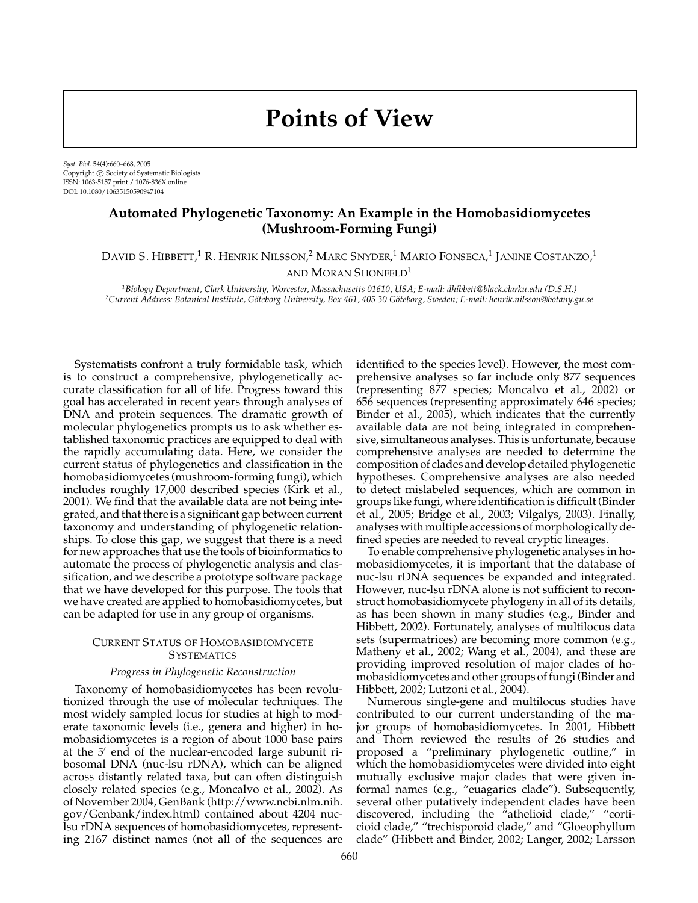# **Points of View**

*Syst. Biol.* 54(4):660–668, 2005 Copyright  $\odot$  Society of Systematic Biologists ISSN: 1063-5157 print / 1076-836X online DOI: 10.1080/10635150590947104

# **Automated Phylogenetic Taxonomy: An Example in the Homobasidiomycetes (Mushroom-Forming Fungi)**

David S. Hibbett,<sup>1</sup> R. Henrik Nilsson,<sup>2</sup> Marc Snyder,<sup>1</sup> Mario Fonseca,<sup>1</sup> Janine Costanzo,<sup>1</sup> AND MORAN SHONFELD<sup>1</sup>

*1Biology Department, Clark University, Worcester, Massachusetts 01610, USA; E-mail: dhibbett@black.clarku.edu (D.S.H.) 2Current Address: Botanical Institute, Goteborg University, Box 461, 405 30 G ¨ oteborg, Sweden; E-mail: henrik.nilsson@botany.gu.se ¨*

Systematists confront a truly formidable task, which is to construct a comprehensive, phylogenetically accurate classification for all of life. Progress toward this goal has accelerated in recent years through analyses of DNA and protein sequences. The dramatic growth of molecular phylogenetics prompts us to ask whether established taxonomic practices are equipped to deal with the rapidly accumulating data. Here, we consider the current status of phylogenetics and classification in the homobasidiomycetes (mushroom-forming fungi), which includes roughly 17,000 described species (Kirk et al., 2001). We find that the available data are not being integrated, and that there is a significant gap between current taxonomy and understanding of phylogenetic relationships. To close this gap, we suggest that there is a need for new approaches that use the tools of bioinformatics to automate the process of phylogenetic analysis and classification, and we describe a prototype software package that we have developed for this purpose. The tools that we have created are applied to homobasidiomycetes, but can be adapted for use in any group of organisms.

### CURRENT STATUS OF HOMOBASIDIOMYCETE **SYSTEMATICS**

#### *Progress in Phylogenetic Reconstruction*

Taxonomy of homobasidiomycetes has been revolutionized through the use of molecular techniques. The most widely sampled locus for studies at high to moderate taxonomic levels (i.e., genera and higher) in homobasidiomycetes is a region of about 1000 base pairs at the  $5'$  end of the nuclear-encoded large subunit ribosomal DNA (nuc-lsu rDNA), which can be aligned across distantly related taxa, but can often distinguish closely related species (e.g., Moncalvo et al., 2002). As of November 2004, GenBank (http://www.ncbi.nlm.nih. gov/Genbank/index.html) contained about 4204 nuclsu rDNA sequences of homobasidiomycetes, representing 2167 distinct names (not all of the sequences are identified to the species level). However, the most comprehensive analyses so far include only 877 sequences (representing 877 species; Moncalvo et al., 2002) or 656 sequences (representing approximately 646 species; Binder et al., 2005), which indicates that the currently available data are not being integrated in comprehensive, simultaneous analyses. This is unfortunate, because comprehensive analyses are needed to determine the composition of clades and develop detailed phylogenetic hypotheses. Comprehensive analyses are also needed to detect mislabeled sequences, which are common in groups like fungi, where identification is difficult (Binder et al., 2005; Bridge et al., 2003; Vilgalys, 2003). Finally, analyses with multiple accessions of morphologically defined species are needed to reveal cryptic lineages.

To enable comprehensive phylogenetic analyses in homobasidiomycetes, it is important that the database of nuc-lsu rDNA sequences be expanded and integrated. However, nuc-lsu rDNA alone is not sufficient to reconstruct homobasidiomycete phylogeny in all of its details, as has been shown in many studies (e.g., Binder and Hibbett, 2002). Fortunately, analyses of multilocus data sets (supermatrices) are becoming more common (e.g., Matheny et al., 2002; Wang et al., 2004), and these are providing improved resolution of major clades of homobasidiomycetes and other groups of fungi (Binder and Hibbett, 2002; Lutzoni et al., 2004).

Numerous single-gene and multilocus studies have contributed to our current understanding of the major groups of homobasidiomycetes. In 2001, Hibbett and Thorn reviewed the results of 26 studies and proposed a "preliminary phylogenetic outline," in which the homobasidiomycetes were divided into eight mutually exclusive major clades that were given informal names (e.g., "euagarics clade"). Subsequently, several other putatively independent clades have been discovered, including the "athelioid clade," "corticioid clade," "trechisporoid clade," and "Gloeophyllum clade" (Hibbett and Binder, 2002; Langer, 2002; Larsson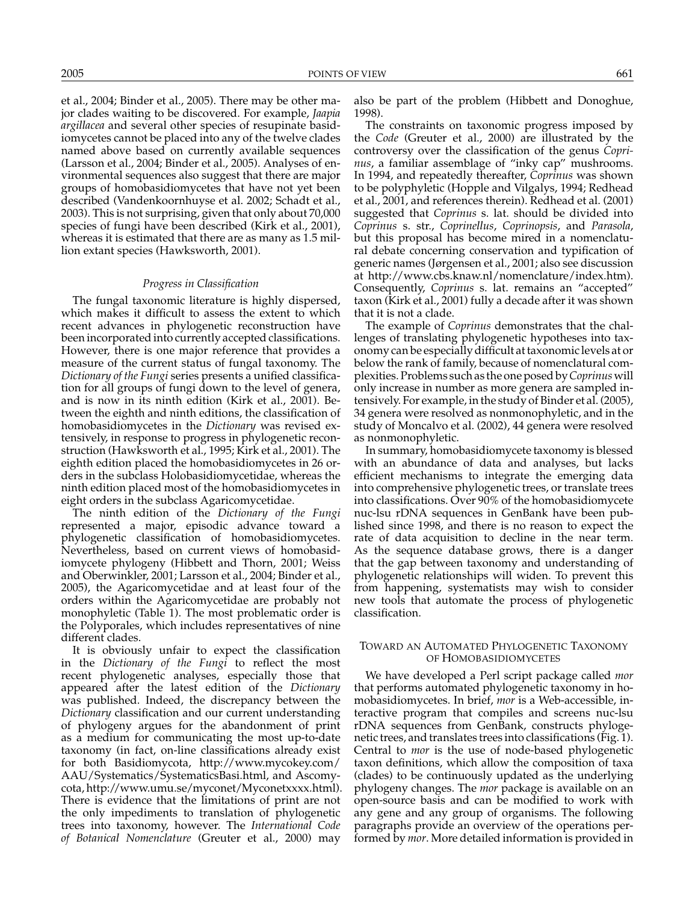et al., 2004; Binder et al., 2005). There may be other major clades waiting to be discovered. For example, *Jaapia argillacea* and several other species of resupinate basidiomycetes cannot be placed into any of the twelve clades named above based on currently available sequences (Larsson et al., 2004; Binder et al., 2005). Analyses of environmental sequences also suggest that there are major groups of homobasidiomycetes that have not yet been described (Vandenkoornhuyse et al. 2002; Schadt et al., 2003). This is not surprising, given that only about 70,000 species of fungi have been described (Kirk et al., 2001), whereas it is estimated that there are as many as 1.5 million extant species (Hawksworth, 2001).

#### *Progress in Classification*

The fungal taxonomic literature is highly dispersed, which makes it difficult to assess the extent to which recent advances in phylogenetic reconstruction have been incorporated into currently accepted classifications. However, there is one major reference that provides a measure of the current status of fungal taxonomy. The *Dictionary of the Fungi* series presents a unified classification for all groups of fungi down to the level of genera, and is now in its ninth edition (Kirk et al., 2001). Between the eighth and ninth editions, the classification of homobasidiomycetes in the *Dictionary* was revised extensively, in response to progress in phylogenetic reconstruction (Hawksworth et al., 1995; Kirk et al., 2001). The eighth edition placed the homobasidiomycetes in 26 orders in the subclass Holobasidiomycetidae, whereas the ninth edition placed most of the homobasidiomycetes in eight orders in the subclass Agaricomycetidae.

The ninth edition of the *Dictionary of the Fungi* represented a major, episodic advance toward a phylogenetic classification of homobasidiomycetes. Nevertheless, based on current views of homobasidiomycete phylogeny (Hibbett and Thorn, 2001; Weiss and Oberwinkler, 2001; Larsson et al., 2004; Binder et al., 2005), the Agaricomycetidae and at least four of the orders within the Agaricomycetidae are probably not monophyletic (Table 1). The most problematic order is the Polyporales, which includes representatives of nine different clades.

It is obviously unfair to expect the classification in the *Dictionary of the Fungi* to reflect the most recent phylogenetic analyses, especially those that appeared after the latest edition of the *Dictionary* was published. Indeed, the discrepancy between the *Dictionary* classification and our current understanding of phylogeny argues for the abandonment of print as a medium for communicating the most up-to-date taxonomy (in fact, on-line classifications already exist for both Basidiomycota, http://www.mycokey.com/ AAU/Systematics/SystematicsBasi.html, and Ascomycota, http://www.umu.se/myconet/Myconetxxxx.html). There is evidence that the limitations of print are not the only impediments to translation of phylogenetic trees into taxonomy, however. The *International Code of Botanical Nomenclature* (Greuter et al., 2000) may

also be part of the problem (Hibbett and Donoghue, 1998).

The constraints on taxonomic progress imposed by the *Code* (Greuter et al., 2000) are illustrated by the controversy over the classification of the genus *Coprinus*, a familiar assemblage of "inky cap" mushrooms. In 1994, and repeatedly thereafter, *Coprinus* was shown to be polyphyletic (Hopple and Vilgalys, 1994; Redhead et al., 2001, and references therein). Redhead et al. (2001) suggested that *Coprinus* s. lat. should be divided into *Coprinus* s. str., *Coprinellus*, *Coprinopsis*, and *Parasola*, but this proposal has become mired in a nomenclatural debate concerning conservation and typification of generic names (Jørgensen et al., 2001; also see discussion at http://www.cbs.knaw.nl/nomenclature/index.htm). Consequently, *Coprinus* s. lat. remains an "accepted" taxon (Kirk et al., 2001) fully a decade after it was shown that it is not a clade.

The example of *Coprinus* demonstrates that the challenges of translating phylogenetic hypotheses into taxonomy can be especially difficult at taxonomic levels at or below the rank of family, because of nomenclatural complexities. Problems such as the one posed by*Coprinus* will only increase in number as more genera are sampled intensively. For example, in the study of Binder et al. (2005), 34 genera were resolved as nonmonophyletic, and in the study of Moncalvo et al. (2002), 44 genera were resolved as nonmonophyletic.

In summary, homobasidiomycete taxonomy is blessed with an abundance of data and analyses, but lacks efficient mechanisms to integrate the emerging data into comprehensive phylogenetic trees, or translate trees into classifications. Over 90% of the homobasidiomycete nuc-lsu rDNA sequences in GenBank have been published since 1998, and there is no reason to expect the rate of data acquisition to decline in the near term. As the sequence database grows, there is a danger that the gap between taxonomy and understanding of phylogenetic relationships will widen. To prevent this from happening, systematists may wish to consider new tools that automate the process of phylogenetic classification.

#### TOWARD AN AUTOMATED PHYLOGENETIC TAXONOMY OF HOMOBASIDIOMYCETES

We have developed a Perl script package called *mor* that performs automated phylogenetic taxonomy in homobasidiomycetes. In brief, *mor* is a Web-accessible, interactive program that compiles and screens nuc-lsu rDNA sequences from GenBank, constructs phylogenetic trees, and translates trees into classifications (Fig. 1). Central to *mor* is the use of node-based phylogenetic taxon definitions, which allow the composition of taxa (clades) to be continuously updated as the underlying phylogeny changes. The *mor* package is available on an open-source basis and can be modified to work with any gene and any group of organisms. The following paragraphs provide an overview of the operations performed by *mor*. More detailed information is provided in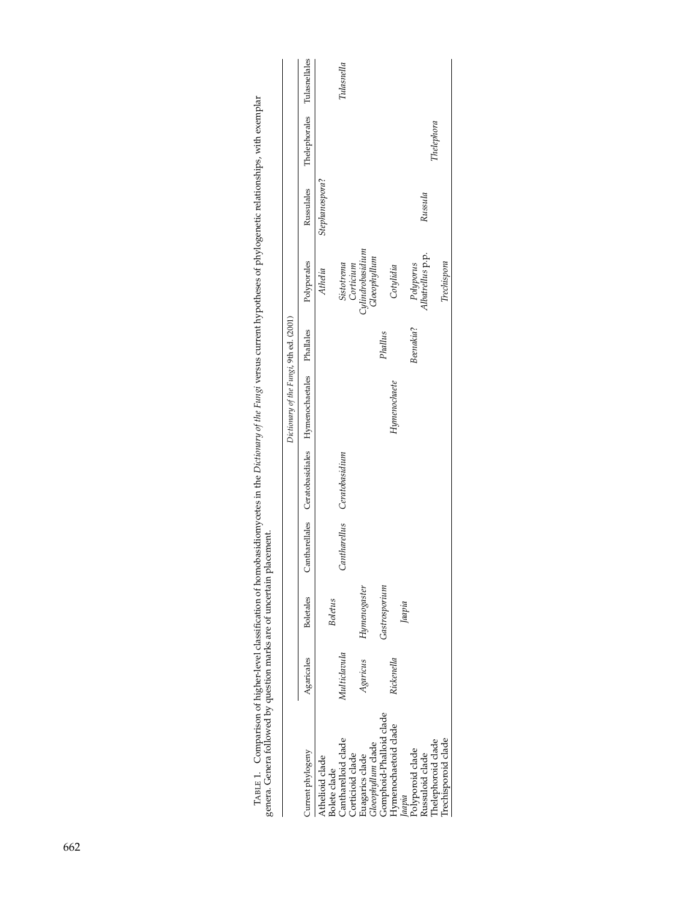|                                         |              |                  |                             | Dictionary of the Fungi, 9th ed. (2001)                   |           |                                         |                |                             |            |
|-----------------------------------------|--------------|------------------|-----------------------------|-----------------------------------------------------------|-----------|-----------------------------------------|----------------|-----------------------------|------------|
| Current phylogeny                       | Agaricales   | <b>Boletales</b> |                             | Cantharellales Ceratobasidiales Hymenochaetales Phallales |           | Polyporales                             | Russulales     | Thelephorales Tulasnellales |            |
| Athelioid clade<br>Bolete clade         |              | <b>Boletus</b>   |                             |                                                           |           | Athelia                                 | Stephanospora? |                             |            |
| Cantharelloid clade<br>Corticioid clade | Multiclavula |                  | Cantharellus Ceratobasidium |                                                           |           | Sistotrema<br>Corticium                 |                |                             | Tulasnella |
| Gloeophyllum clade<br>Euagarics clade   | Agaricus     | Hymenogaster     |                             |                                                           |           | <i>Cylindrobasidium</i><br>Gloeophyllum |                |                             |            |
| Gomphoid-Phalloid clade                 |              | Gastrosporium    |                             |                                                           | Phallus   |                                         |                |                             |            |
| Hymenochaetoid clade                    | Rickenella   |                  |                             | Hymenochaete                                              |           | Cotylidia                               |                |                             |            |
| Jaapia                                  |              | Jaapia           |                             |                                                           |           |                                         |                |                             |            |
| Polyporoid clade<br>Russuloid clade     |              |                  |                             |                                                           | Beenakia? | Polyporus                               |                |                             |            |
|                                         |              |                  |                             |                                                           |           | Albatrellus p.p.                        | Russula        |                             |            |
| Thelephoroid clade                      |              |                  |                             |                                                           |           |                                         |                | Thelephora                  |            |
| frechisporoid clade                     |              |                  |                             |                                                           |           | Trechispora                             |                |                             |            |
|                                         |              |                  |                             |                                                           |           |                                         |                |                             |            |

TABLE 1. Comparison of higher-level classification of homobasidiomycetes in the *Dictionary of the Fungi* versus current hypotheses of phylogenetic relationships, with exemplar genera. Genera followed by question marks are TABLE 1. Comparison of higher-level classification of homobasidiomycetes in the *Dictionary of the Fungi* versus current hypotheses of phylogenetic relationships, with exemplar genera. Genera followed by question marks are of uncertain placement.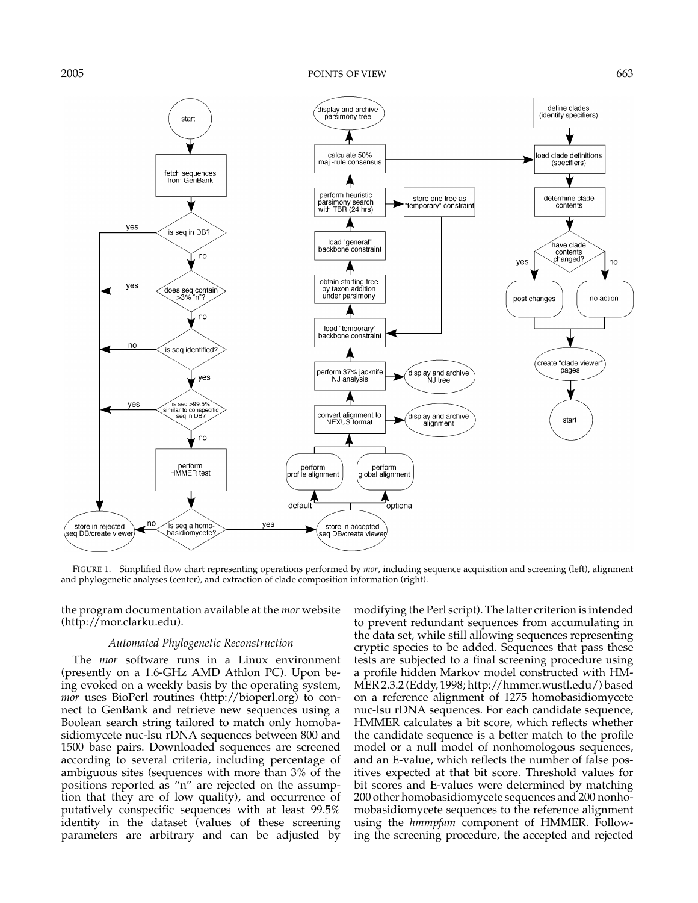

FIGURE 1. Simplified flow chart representing operations performed by *mor*, including sequence acquisition and screening (left), alignment and phylogenetic analyses (center), and extraction of clade composition information (right).

the program documentation available at the *mor* website (http://mor.clarku.edu).

#### *Automated Phylogenetic Reconstruction*

The *mor* software runs in a Linux environment (presently on a 1.6-GHz AMD Athlon PC). Upon being evoked on a weekly basis by the operating system, *mor* uses BioPerl routines (http://bioperl.org) to connect to GenBank and retrieve new sequences using a Boolean search string tailored to match only homobasidiomycete nuc-lsu rDNA sequences between 800 and 1500 base pairs. Downloaded sequences are screened according to several criteria, including percentage of ambiguous sites (sequences with more than 3% of the positions reported as "n" are rejected on the assumption that they are of low quality), and occurrence of putatively conspecific sequences with at least 99.5% identity in the dataset (values of these screening parameters are arbitrary and can be adjusted by

modifying the Perl script). The latter criterion is intended to prevent redundant sequences from accumulating in the data set, while still allowing sequences representing cryptic species to be added. Sequences that pass these tests are subjected to a final screening procedure using a profile hidden Markov model constructed with HM-MER 2.3.2 (Eddy, 1998; http://hmmer.wustl.edu/) based on a reference alignment of 1275 homobasidiomycete nuc-lsu rDNA sequences. For each candidate sequence, HMMER calculates a bit score, which reflects whether the candidate sequence is a better match to the profile model or a null model of nonhomologous sequences, and an E-value, which reflects the number of false positives expected at that bit score. Threshold values for bit scores and E-values were determined by matching 200 other homobasidiomycete sequences and 200 nonhomobasidiomycete sequences to the reference alignment using the *hmmpfam* component of HMMER. Following the screening procedure, the accepted and rejected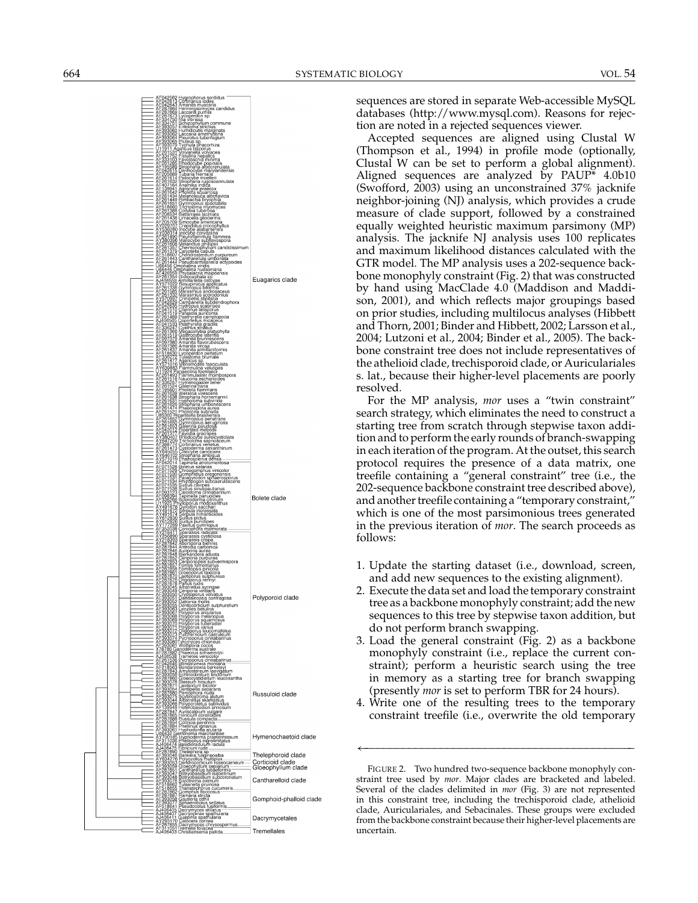

sequences are stored in separate Web-accessible MySQL databases (http://www.mysql.com). Reasons for rejection are noted in a rejected sequences viewer.

Accepted sequences are aligned using Clustal W (Thompson et al., 1994) in profile mode (optionally, Clustal W can be set to perform a global alignment). Aligned sequences are analyzed by PAUP\* 4.0b10 (Swofford, 2003) using an unconstrained 37% jacknife neighbor-joining (NJ) analysis, which provides a crude measure of clade support, followed by a constrained equally weighted heuristic maximum parsimony (MP) analysis. The jacknife NJ analysis uses 100 replicates and maximum likelihood distances calculated with the GTR model. The MP analysis uses a 202-sequence backbone monophyly constraint (Fig. 2) that was constructed by hand using MacClade 4.0 (Maddison and Maddison, 2001), and which reflects major groupings based on prior studies, including multilocus analyses (Hibbett and Thorn, 2001; Binder and Hibbett, 2002; Larsson et al., 2004; Lutzoni et al., 2004; Binder et al., 2005). The backbone constraint tree does not include representatives of the athelioid clade, trechisporoid clade, or Auriculariales s. lat., because their higher-level placements are poorly resolved.

For the MP analysis, *mor* uses a "twin constraint" search strategy, which eliminates the need to construct a starting tree from scratch through stepwise taxon addition and to perform the early rounds of branch-swapping in each iteration of the program. At the outset, this search protocol requires the presence of a data matrix, one treefile containing a "general constraint" tree (i.e., the 202-sequence backbone constraint tree described above), and another treefile containing a "temporary constraint," which is one of the most parsimonious trees generated in the previous iteration of *mor* . The search proceeds as follows:

- 1. Update the starting dataset (i.e., download, screen, and add new sequences to the existing alignment).
- 2. Execute the data set and load the temporary constraint tree as a backbone monophyly constraint; add the new sequences to this tree by stepwise taxon addition, but do not perform branch swapping.
- 3. Load the general constraint (Fig. 2) as a backbone monophyly constraint (i.e., replace the current constraint); perform a heuristic search using the tree in memory as a starting tree for branch swapping (presently *mor* is set to perform TBR for 24 hours).
- 4. Write one of the resulting trees to the temporary constraint treefile (i.e., overwrite the old temporary

←−−−−−−−−−−−−−−−−−−−−−−−−−−−−−−−−−−−−−−−−−−−

FIGURE 2. Two hundred two-sequence backbone monophyly constraint tree used by *mor*. Major clades are bracketed and labeled. Several of the clades delimited in *mor* (Fig. 3) are not represented in this constraint tree, including the trechisporoid clade, athelioid clade, Auriculariales, and Sebacinales. These groups were excluded from the backbone constraint because their higher-level placements are uncertain.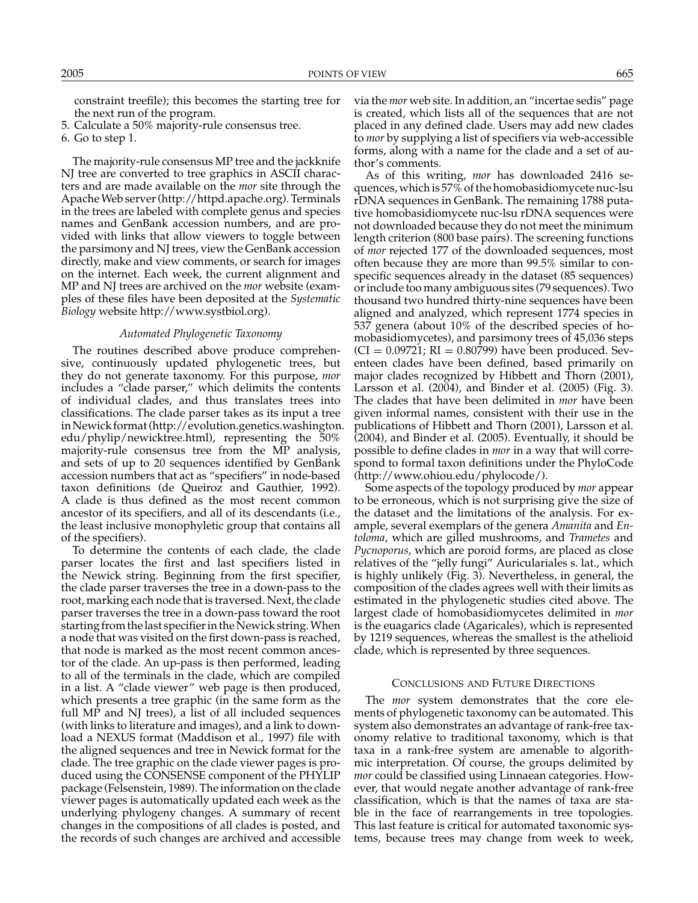constraint treefile); this becomes the starting tree for the next run of the program.

5. Calculate a 50% majority-rule consensus tree.

6. Go to step 1.

The majority-rule consensus MP tree and the jackknife NJ tree are converted to tree graphics in ASCII characters and are made available on the *mor* site through the Apache Web server (http://httpd.apache.org). Terminals in the trees are labeled with complete genus and species names and GenBank accession numbers, and are provided with links that allow viewers to toggle between the parsimony and NJ trees, view the GenBank accession directly, make and view comments, or search for images on the internet. Each week, the current alignment and MP and NJ trees are archived on the *mor* website (examples of these files have been deposited at the *Systematic Biology* website http://www.systbiol.org).

#### *Automated Phylogenetic Taxonomy*

The routines described above produce comprehensive, continuously updated phylogenetic trees, but they do not generate taxonomy. For this purpose, *mor* includes a "clade parser," which delimits the contents of individual clades, and thus translates trees into classifications. The clade parser takes as its input a tree in Newick format (http://evolution.genetics.washington. edu/phylip/newicktree.html), representing the 50% majority-rule consensus tree from the MP analysis, and sets of up to 20 sequences identified by GenBank accession numbers that act as "specifiers" in node-based taxon definitions (de Queiroz and Gauthier, 1992). A clade is thus defined as the most recent common ancestor of its specifiers, and all of its descendants (i.e., the least inclusive monophyletic group that contains all of the specifiers).

To determine the contents of each clade, the clade parser locates the first and last specifiers listed in the Newick string. Beginning from the first specifier, the clade parser traverses the tree in a down-pass to the root, marking each node that is traversed. Next, the clade parser traverses the tree in a down-pass toward the root starting from the last specifier in the Newick string. When a node that was visited on the first down-pass is reached, that node is marked as the most recent common ancestor of the clade. An up-pass is then performed, leading to all of the terminals in the clade, which are compiled in a list. A "clade viewer" web page is then produced, which presents a tree graphic (in the same form as the full  $MP$  and  $NJ$  trees), a list of all included sequences (with links to literature and images), and a link to download a NEXUS format (Maddison et al., 1997) file with the aligned sequences and tree in Newick format for the clade. The tree graphic on the clade viewer pages is produced using the CONSENSE component of the PHYLIP package (Felsenstein, 1989). The information on the clade viewer pages is automatically updated each week as the underlying phylogeny changes. A summary of recent changes in the compositions of all clades is posted, and the records of such changes are archived and accessible

via the *mor* web site. In addition, an "incertae sedis" page is created, which lists all of the sequences that are not placed in any defined clade. Users may add new clades to *mor* by supplying a list of specifiers via web-accessible forms, along with a name for the clade and a set of author's comments.

As of this writing, *mor* has downloaded 2416 sequences, which is 57% of the homobasidiomycete nuc-lsu rDNA sequences in GenBank. The remaining 1788 putative homobasidiomycete nuc-lsu rDNA sequences were not downloaded because they do not meet the minimum length criterion (800 base pairs). The screening functions of *mor* rejected 177 of the downloaded sequences, most often because they are more than 99.5% similar to conspecific sequences already in the dataset (85 sequences) or include too many ambiguous sites (79 sequences). Two thousand two hundred thirty-nine sequences have been aligned and analyzed, which represent 1774 species in 537 genera (about 10% of the described species of homobasidiomycetes), and parsimony trees of 45,036 steps  $(CI = 0.09721; RI = 0.80799)$  have been produced. Seventeen clades have been defined, based primarily on major clades recognized by Hibbett and Thorn (2001), Larsson et al. (2004), and Binder et al. (2005) (Fig. 3). The clades that have been delimited in *mor* have been given informal names, consistent with their use in the publications of Hibbett and Thorn (2001), Larsson et al. (2004), and Binder et al. (2005). Eventually, it should be possible to define clades in *mor* in a way that will correspond to formal taxon definitions under the PhyloCode (http://www.ohiou.edu/phylocode/).

Some aspects of the topology produced by *mor* appear to be erroneous, which is not surprising give the size of the dataset and the limitations of the analysis. For example, several exemplars of the genera *Amanita* and *Entoloma*, which are gilled mushrooms, and *Trametes* and *Pycnoporus*, which are poroid forms, are placed as close relatives of the "jelly fungi" Auriculariales s. lat., which is highly unlikely (Fig. 3). Nevertheless, in general, the composition of the clades agrees well with their limits as estimated in the phylogenetic studies cited above. The largest clade of homobasidiomycetes delimited in *mor* is the euagarics clade (Agaricales), which is represented by 1219 sequences, whereas the smallest is the athelioid clade, which is represented by three sequences.

#### CONCLUSIONS AND FUTURE DIRECTIONS

The *mor* system demonstrates that the core elements of phylogenetic taxonomy can be automated. This system also demonstrates an advantage of rank-free taxonomy relative to traditional taxonomy, which is that taxa in a rank-free system are amenable to algorithmic interpretation. Of course, the groups delimited by *mor* could be classified using Linnaean categories. However, that would negate another advantage of rank-free classification, which is that the names of taxa are stable in the face of rearrangements in tree topologies. This last feature is critical for automated taxonomic systems, because trees may change from week to week,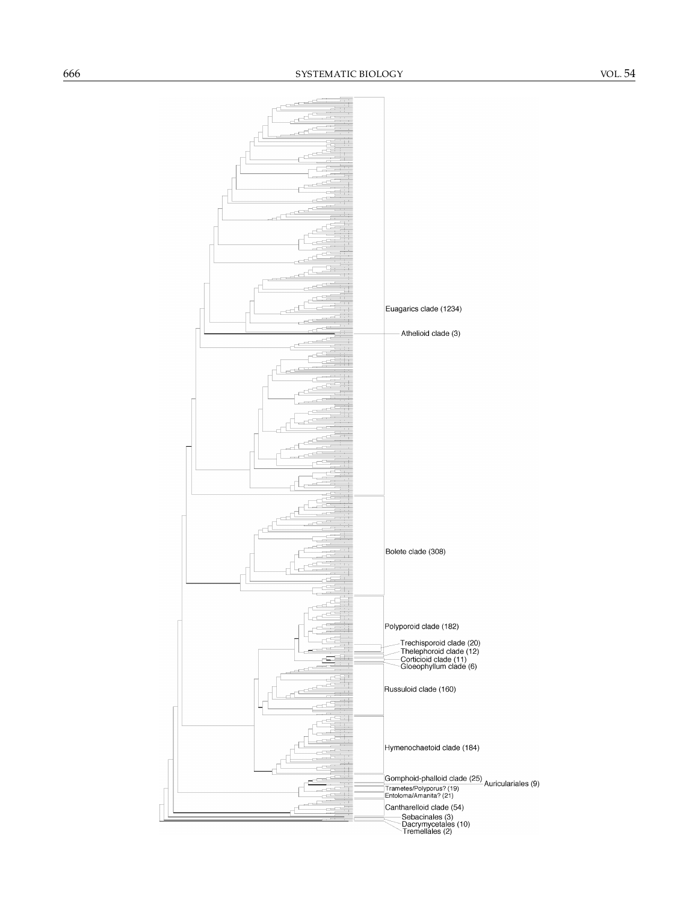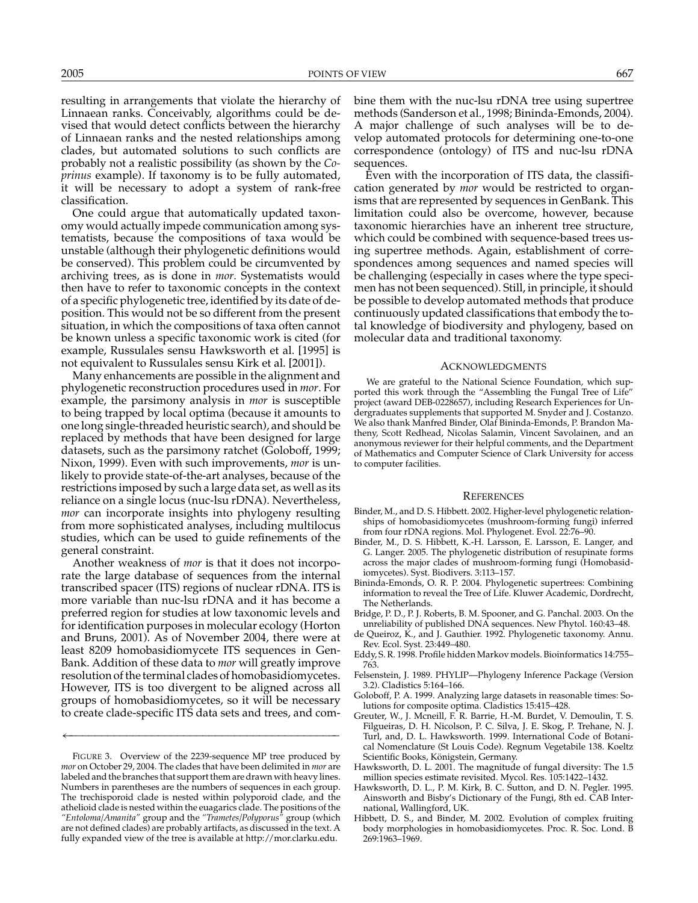resulting in arrangements that violate the hierarchy of Linnaean ranks. Conceivably, algorithms could be devised that would detect conflicts between the hierarchy of Linnaean ranks and the nested relationships among clades, but automated solutions to such conflicts are probably not a realistic possibility (as shown by the *Coprinus* example). If taxonomy is to be fully automated, it will be necessary to adopt a system of rank-free classification.

One could argue that automatically updated taxonomy would actually impede communication among systematists, because the compositions of taxa would be unstable (although their phylogenetic definitions would be conserved). This problem could be circumvented by archiving trees, as is done in *mor*. Systematists would then have to refer to taxonomic concepts in the context of a specific phylogenetic tree, identified by its date of deposition. This would not be so different from the present situation, in which the compositions of taxa often cannot be known unless a specific taxonomic work is cited (for example, Russulales sensu Hawksworth et al. [1995] is not equivalent to Russulales sensu Kirk et al. [2001]).

Many enhancements are possible in the alignment and phylogenetic reconstruction procedures used in *mor*. For example, the parsimony analysis in *mor* is susceptible to being trapped by local optima (because it amounts to one long single-threaded heuristic search), and should be replaced by methods that have been designed for large datasets, such as the parsimony ratchet (Goloboff, 1999; Nixon, 1999). Even with such improvements, *mor* is unlikely to provide state-of-the-art analyses, because of the restrictions imposed by such a large data set, as well as its reliance on a single locus (nuc-lsu rDNA). Nevertheless, *mor* can incorporate insights into phylogeny resulting from more sophisticated analyses, including multilocus studies, which can be used to guide refinements of the general constraint.

Another weakness of *mor* is that it does not incorporate the large database of sequences from the internal transcribed spacer (ITS) regions of nuclear rDNA. ITS is more variable than nuc-lsu rDNA and it has become a preferred region for studies at low taxonomic levels and for identification purposes in molecular ecology (Horton and Bruns, 2001). As of November 2004, there were at least 8209 homobasidiomycete ITS sequences in Gen-Bank. Addition of these data to *mor* will greatly improve resolution of the terminal clades of homobasidiomycetes. However, ITS is too divergent to be aligned across all groups of homobasidiomycetes, so it will be necessary to create clade-specific ITS data sets and trees, and com-

←−−−−−−−−−−−−−−−−−−−−−−−−−−−−−−−−−−−−−−−−−−−

bine them with the nuc-lsu rDNA tree using supertree methods (Sanderson et al., 1998; Bininda-Emonds, 2004). A major challenge of such analyses will be to develop automated protocols for determining one-to-one correspondence (ontology) of ITS and nuc-lsu rDNA sequences.

Even with the incorporation of ITS data, the classification generated by *mor* would be restricted to organisms that are represented by sequences in GenBank. This limitation could also be overcome, however, because taxonomic hierarchies have an inherent tree structure, which could be combined with sequence-based trees using supertree methods. Again, establishment of correspondences among sequences and named species will be challenging (especially in cases where the type specimen has not been sequenced). Still, in principle, it should be possible to develop automated methods that produce continuously updated classifications that embody the total knowledge of biodiversity and phylogeny, based on molecular data and traditional taxonomy.

#### ACKNOWLEDGMENTS

We are grateful to the National Science Foundation, which supported this work through the "Assembling the Fungal Tree of Life" project (award DEB-0228657), including Research Experiences for Undergraduates supplements that supported M. Snyder and J. Costanzo. We also thank Manfred Binder, Olaf Bininda-Emonds, P. Brandon Matheny, Scott Redhead, Nicolas Salamin, Vincent Savolainen, and an anonymous reviewer for their helpful comments, and the Department of Mathematics and Computer Science of Clark University for access to computer facilities.

#### **REFERENCES**

- Binder, M., and D. S. Hibbett. 2002. Higher-level phylogenetic relationships of homobasidiomycetes (mushroom-forming fungi) inferred from four rDNA regions. Mol. Phylogenet. Evol. 22:76–90.
- Binder, M., D. S. Hibbett, K.-H. Larsson, E. Larsson, E. Langer, and G. Langer. 2005. The phylogenetic distribution of resupinate forms across the major clades of mushroom-forming fungi (Homobasidiomycetes). Syst. Biodivers. 3:113–157.
- Bininda-Emonds, O. R. P. 2004. Phylogenetic supertrees: Combining information to reveal the Tree of Life. Kluwer Academic, Dordrecht, The Netherlands.
- Bridge, P. D., P. J. Roberts, B. M. Spooner, and G. Panchal. 2003. On the unreliability of published DNA sequences. New Phytol. 160:43–48.
- de Queiroz, K., and J. Gauthier. 1992. Phylogenetic taxonomy. Annu. Rev. Ecol. Syst. 23:449–480.
- Eddy, S. R. 1998. Profile hidden Markov models. Bioinformatics 14:755– 763.
- Felsenstein, J. 1989. PHYLIP—Phylogeny Inference Package (Version 3.2). Cladistics 5:164–166.
- Goloboff, P. A. 1999. Analyzing large datasets in reasonable times: Solutions for composite optima. Cladistics 15:415–428.
- Greuter, W., J. Mcneill, F. R. Barrie, H.-M. Burdet, V. Demoulin, T. S. Filgueiras, D. H. Nicolson, P. C. Silva, J. E. Skog, P. Trehane, N. J. Turl, and, D. L. Hawksworth. 1999. International Code of Botanical Nomenclature (St Louis Code). Regnum Vegetabile 138. Koeltz Scientific Books, Königstein, Germany.
- Hawksworth, D. L. 2001. The magnitude of fungal diversity: The 1.5 million species estimate revisited. Mycol. Res. 105:1422–1432.
- Hawksworth, D. L., P. M. Kirk, B. C. Sutton, and D. N. Pegler. 1995. Ainsworth and Bisby's Dictionary of the Fungi, 8th ed. CAB International, Wallingford, UK.
- Hibbett, D. S., and Binder, M. 2002. Evolution of complex fruiting body morphologies in homobasidiomycetes. Proc. R. Soc. Lond. B 269:1963–1969.

FIGURE 3. Overview of the 2239-sequence MP tree produced by *mor* on October 29, 2004. The clades that have been delimited in *mor* are labeled and the branches that support them are drawn with heavy lines. Numbers in parentheses are the numbers of sequences in each group. The trechisporoid clade is nested within polyporoid clade, and the athelioid clade is nested within the euagarics clade. The positions of the *"Entoloma/Amanita"* group and the *"Trametes/Polyporus"* group (which are not defined clades) are probably artifacts, as discussed in the text. A fully expanded view of the tree is available at http://mor.clarku.edu.